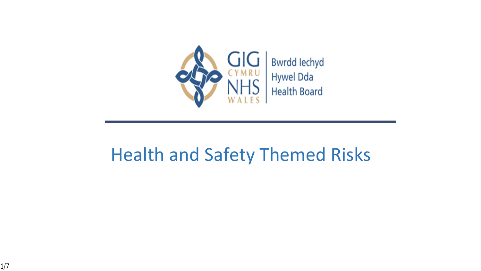

#### Health and Safety Themed Risks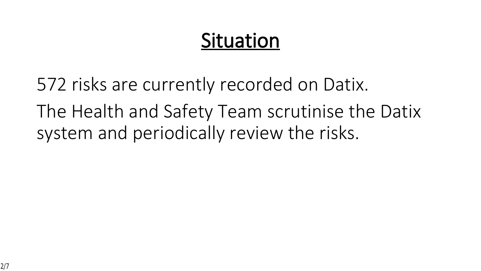# **Situation**

572 risks are currently recorded on Datix. The Health and Safety Team scrutinise the Datix system and periodically review the risks.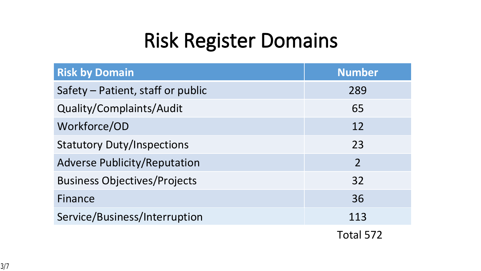# **Risk Register Domains**

| <b>Risk by Domain</b>               | <b>Number</b>  |
|-------------------------------------|----------------|
| Safety - Patient, staff or public   | 289            |
| Quality/Complaints/Audit            | 65             |
| Workforce/OD                        | 12             |
| <b>Statutory Duty/Inspections</b>   | 23             |
| <b>Adverse Publicity/Reputation</b> | $\overline{2}$ |
| <b>Business Objectives/Projects</b> | 32             |
| Finance                             | 36             |
| Service/Business/Interruption       | 113            |
|                                     |                |

Total 572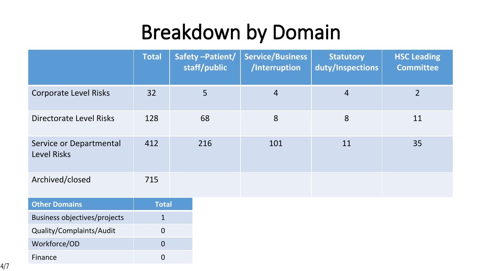# **Breakdown by Domain**

|                                               | <b>Total</b> | Safety-Patient/<br>staff/public | <b>Service/Business</b><br>/Interruption | <b>Statutory</b><br>duty/Inspections | <b>HSC Leading</b><br><b>Committee</b> |
|-----------------------------------------------|--------------|---------------------------------|------------------------------------------|--------------------------------------|----------------------------------------|
| <b>Corporate Level Risks</b>                  | 32           | 5                               | $\overline{4}$                           | $\overline{4}$                       | $\overline{2}$                         |
| Directorate Level Risks                       | 128          | 68                              | 8                                        | 8                                    | 11                                     |
| Service or Departmental<br><b>Level Risks</b> | 412          | 216                             | 101                                      | 11                                   | 35                                     |
| Archived/closed                               | 715          |                                 |                                          |                                      |                                        |
| <b>Other Domains</b>                          | <b>Total</b> |                                 |                                          |                                      |                                        |
| <b>Business objectives/projects</b>           | $\mathbf{1}$ |                                 |                                          |                                      |                                        |
| Quality/Complaints/Audit                      | $\mathbf 0$  |                                 |                                          |                                      |                                        |
| Workforce/OD                                  | $\mathbf{0}$ |                                 |                                          |                                      |                                        |
| Finance                                       | $\mathbf 0$  |                                 |                                          |                                      |                                        |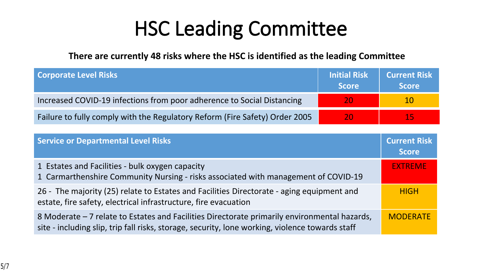# **HSC Leading Committee**

**There are currently 48 risks where the HSC is identified as the leading Committee** 

| <b>Corporate Level Risks</b>                                                | <b>Initial Risk</b><br><b>Score</b> | <b>Current Risk</b><br><b>Score</b> |
|-----------------------------------------------------------------------------|-------------------------------------|-------------------------------------|
| Increased COVID-19 infections from poor adherence to Social Distancing      | 20                                  | <b>107</b>                          |
| Failure to fully comply with the Regulatory Reform (Fire Safety) Order 2005 | 20                                  | 157                                 |

| <b>Service or Departmental Level Risks</b>                                                                                                                                                      | <b>Current Risk</b><br><b>Score</b> |
|-------------------------------------------------------------------------------------------------------------------------------------------------------------------------------------------------|-------------------------------------|
| 1 Estates and Facilities - bulk oxygen capacity<br>1 Carmarthenshire Community Nursing - risks associated with management of COVID-19                                                           | <b>EXTREME</b>                      |
| 26 - The majority (25) relate to Estates and Facilities Directorate - aging equipment and<br>estate, fire safety, electrical infrastructure, fire evacuation                                    | <b>HIGH</b>                         |
| 8 Moderate – 7 relate to Estates and Facilities Directorate primarily environmental hazards,<br>site - including slip, trip fall risks, storage, security, lone working, violence towards staff | <b>MODERATE</b>                     |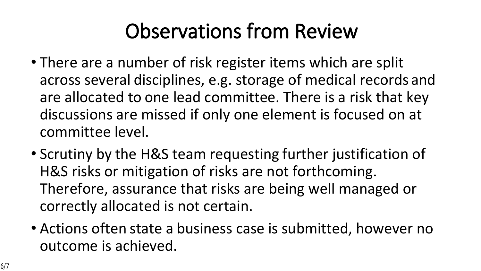# **Observations from Review**

- There are a number of risk register items which are split across several disciplines, e.g. storage of medical records and are allocated to one lead committee. There is a risk that key discussions are missed if only one element is focused on at committee level.
- Scrutiny by the H&S team requesting further justification of H&S risks or mitigation of risks are not forthcoming. Therefore, assurance that risks are being well managed or correctly allocated is not certain.
- Actions often state a business case is submitted, however no outcome is achieved.